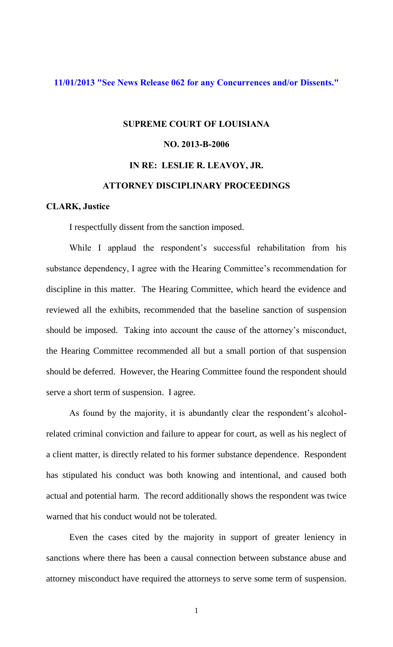## **[11/01/2013 "See News Release 062 for any Concurrences and/or Dissents."](http://www.lasc.org/Actions?p=2013-062)**

## **SUPREME COURT OF LOUISIANA NO. 2013-B-2006 IN RE: LESLIE R. LEAVOY, JR. ATTORNEY DISCIPLINARY PROCEEDINGS**

## **CLARK, Justice**

I respectfully dissent from the sanction imposed.

While I applaud the respondent's successful rehabilitation from his substance dependency, I agree with the Hearing Committee's recommendation for discipline in this matter. The Hearing Committee, which heard the evidence and reviewed all the exhibits, recommended that the baseline sanction of suspension should be imposed. Taking into account the cause of the attorney's misconduct, the Hearing Committee recommended all but a small portion of that suspension should be deferred. However, the Hearing Committee found the respondent should serve a short term of suspension. I agree.

As found by the majority, it is abundantly clear the respondent's alcoholrelated criminal conviction and failure to appear for court, as well as his neglect of a client matter, is directly related to his former substance dependence. Respondent has stipulated his conduct was both knowing and intentional, and caused both actual and potential harm. The record additionally shows the respondent was twice warned that his conduct would not be tolerated.

 Even the cases cited by the majority in support of greater leniency in sanctions where there has been a causal connection between substance abuse and attorney misconduct have required the attorneys to serve some term of suspension.